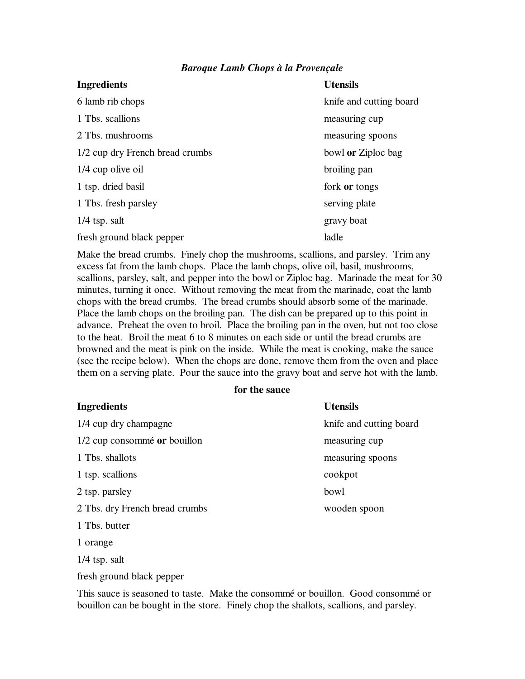## *Baroque Lamb Chops à la Provençale*

| <b>Ingredients</b>              | <b>Utensils</b>         |
|---------------------------------|-------------------------|
| 6 lamb rib chops                | knife and cutting board |
| 1 Tbs. scallions                | measuring cup           |
| 2 Tbs. mushrooms                | measuring spoons        |
| 1/2 cup dry French bread crumbs | bowl or Ziploc bag      |
| 1/4 cup olive oil               | broiling pan            |
| 1 tsp. dried basil              | fork or tongs           |
| 1 Tbs. fresh parsley            | serving plate           |
| $1/4$ tsp. salt                 | gravy boat              |
| fresh ground black pepper       | ladle                   |

Make the bread crumbs. Finely chop the mushrooms, scallions, and parsley. Trim any excess fat from the lamb chops. Place the lamb chops, olive oil, basil, mushrooms, scallions, parsley, salt, and pepper into the bowl or Ziploc bag. Marinade the meat for 30 minutes, turning it once. Without removing the meat from the marinade, coat the lamb chops with the bread crumbs. The bread crumbs should absorb some of the marinade. Place the lamb chops on the broiling pan. The dish can be prepared up to this point in advance. Preheat the oven to broil. Place the broiling pan in the oven, but not too close to the heat. Broil the meat 6 to 8 minutes on each side or until the bread crumbs are browned and the meat is pink on the inside. While the meat is cooking, make the sauce (see the recipe below). When the chops are done, remove them from the oven and place them on a serving plate. Pour the sauce into the gravy boat and serve hot with the lamb.

## **for the sauce**

| <b>Ingredients</b>             | <b>Utensils</b>         |
|--------------------------------|-------------------------|
| 1/4 cup dry champagne          | knife and cutting board |
| 1/2 cup consommé or bouillon   | measuring cup           |
| 1 Tbs. shallots                | measuring spoons        |
| 1 tsp. scallions               | cookpot                 |
| 2 tsp. parsley                 | bowl                    |
| 2 Tbs. dry French bread crumbs | wooden spoon            |
| 1 Tbs. butter                  |                         |
| 1 orange                       |                         |
| $1/4$ tsp. salt                |                         |

This sauce is seasoned to taste. Make the consommé or bouillon. Good consommé or bouillon can be bought in the store. Finely chop the shallots, scallions, and parsley.

fresh ground black pepper